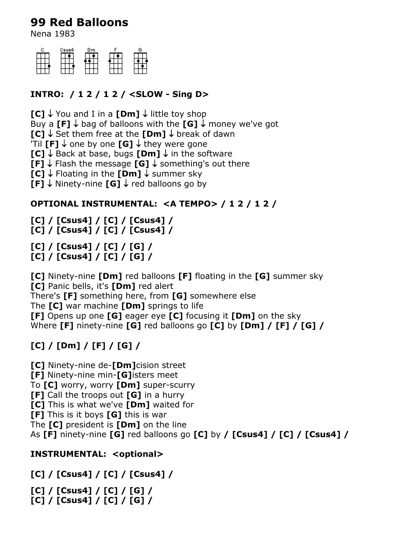## **99 Red Balloons**

Nena 1983

| Csus4 | Dm | Ĝ |
|-------|----|---|
|       |    |   |
|       |    |   |
|       |    |   |

### **INTRO: / 1 2 / 1 2 / <SLOW - Sing D>**

**[C]**  $\downarrow$  You and I in a **[Dm]**  $\downarrow$  little toy shop

Buy a **[F]**  $\downarrow$  bag of balloons with the **[G]**  $\downarrow$  money we've got

**IC1**  $\downarrow$  Set them free at the **[Dm]**  $\downarrow$  break of dawn

'Til **[F]**  $\downarrow$  one by one **[G]**  $\downarrow$  they were gone

**[C]**  $\downarrow$  Back at base, bugs **[Dm]**  $\downarrow$  in the software

**[F]**  $\downarrow$  Flash the message **[G]**  $\downarrow$  something's out there

**[C]**  $\downarrow$  Floating in the **[Dm]**  $\downarrow$  summer sky

**[F]**  $\downarrow$  Ninety-nine **[G]**  $\downarrow$  red balloons go by

#### **OPTIONAL INSTRUMENTAL: <A TEMPO> / 1 2 / 1 2 /**

**[C] / [Csus4] / [C] / [Csus4] /**

**[C] / [Csus4] / [C] / [Csus4] /**

**[C] / [Csus4] / [C] / [G] /**

**[C] / [Csus4] / [C] / [G] /**

**[C]** Ninety-nine **[Dm]** red balloons **[F]** floating in the **[G]** summer sky **[C]** Panic bells, it's **[Dm]** red alert There's **[F]** something here, from **[G]** somewhere else The **[C]** war machine **[Dm]** springs to life **[F]** Opens up one **[G]** eager eye **[C]** focusing it **[Dm]** on the sky Where **[F]** ninety-nine **[G]** red balloons go **[C]** by **[Dm] / [F] / [G] /**

# **[C] / [Dm] / [F] / [G] /**

**[C]** Ninety-nine de-**[Dm]**cision street

**[F]** Ninety-nine min-**[G]**isters meet

To **[C]** worry, worry **[Dm]** super-scurry

**[F]** Call the troops out **[G]** in a hurry

**[C]** This is what we've **[Dm]** waited for

**[F]** This is it boys **[G]** this is war

The **[C]** president is **[Dm]** on the line

As **[F]** ninety-nine **[G]** red balloons go **[C]** by **/ [Csus4] / [C] / [Csus4] /**

### **INSTRUMENTAL: <optional>**

**[C] / [Csus4] / [C] / [Csus4] /**

**[C] / [Csus4] / [C] / [G] /**

**[C] / [Csus4] / [C] / [G] /**